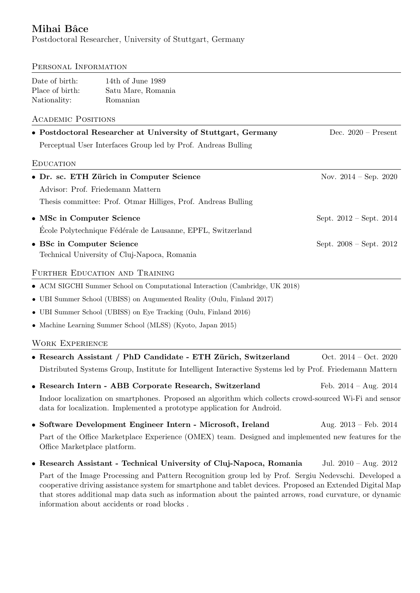# Mihai Bâce

Postdoctoral Researcher, University of Stuttgart, Germany

## PERSONAL INFORMATION

| Date of birth:  | 14th of June 1989  |
|-----------------|--------------------|
| Place of birth: | Satu Mare, Romania |
| Nationality:    | Romanian           |

## Academic Positions

| • Postdoctoral Researcher at University of Stuttgart, Germany | Dec. $2020$ – Present           |  |  |
|---------------------------------------------------------------|---------------------------------|--|--|
| Perceptual User Interfaces Group led by Prof. Andreas Bulling |                                 |  |  |
| <b>EDUCATION</b>                                              |                                 |  |  |
| • Dr. sc. ETH Zürich in Computer Science                      | Nov. $2014 - \text{Sep. } 2020$ |  |  |
| Advisor: Prof. Friedemann Mattern                             |                                 |  |  |
| Thesis committee: Prof. Otmar Hilliges, Prof. Andreas Bulling |                                 |  |  |
| • MSc in Computer Science                                     | Sept. $2012 - Sept. 2014$       |  |  |
| Ecole Polytechnique Fédérale de Lausanne, EPFL, Switzerland   |                                 |  |  |
| • BSc in Computer Science                                     | Sept. $2008 - Sept. 2012$       |  |  |
| Technical University of Cluj-Napoca, Romania                  |                                 |  |  |

## FURTHER EDUCATION AND TRAINING

| • ACM SIGCHI Summer School on Computational Interaction (Cambridge, UK 2018) |  |  |  |
|------------------------------------------------------------------------------|--|--|--|
|                                                                              |  |  |  |

• UBI Summer School (UBISS) on Augumented Reality (Oulu, Finland 2017)

• UBI Summer School (UBISS) on Eye Tracking (Oulu, Finland 2016)

• Machine Learning Summer School (MLSS) (Kyoto, Japan 2015)

## Work Experience

• Research Assistant / PhD Candidate - ETH Zürich, Switzerland Oct. 2014 – Oct. 2020 Distributed Systems Group, Institute for Intelligent Interactive Systems led by Prof. Friedemann Mattern

• Research Intern - ABB Corporate Research, Switzerland Feb. 2014 - Aug. 2014 Indoor localization on smartphones. Proposed an algorithm which collects crowd-sourced Wi-Fi and sensor data for localization. Implemented a prototype application for Android.

- Software Development Engineer Intern Microsoft, Ireland Aug. 2013 Feb. 2014 Part of the Office Marketplace Experience (OMEX) team. Designed and implemented new features for the Office Marketplace platform.
- Research Assistant Technical University of Cluj-Napoca, Romania Jul. 2010 Aug. 2012 Part of the Image Processing and Pattern Recognition group led by Prof. Sergiu Nedevschi. Developed a cooperative driving assistance system for smartphone and tablet devices. Proposed an Extended Digital Map that stores additional map data such as information about the painted arrows, road curvature, or dynamic information about accidents or road blocks .